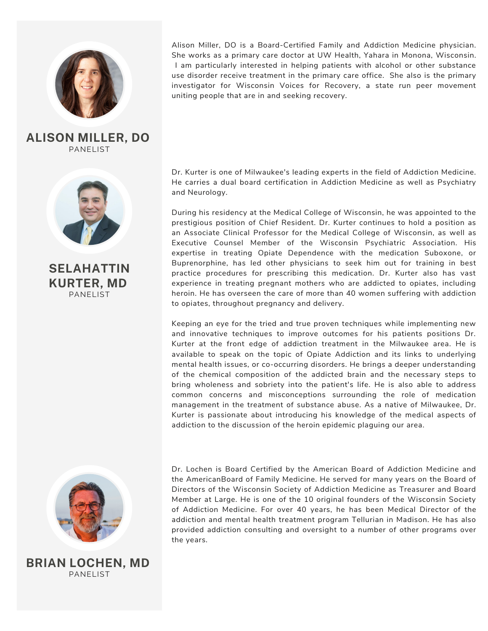

PANELIST **ALISON MILLER, DO**



PANELIST **SELAHATTIN KURTER, MD**



PANELIST **BRIAN LOCHEN, MD**

Alison Miller, DO is a Board-Certified Family and Addiction Medicine physician. She works as a primary care doctor at UW Health, Yahara in Monona, Wisconsin. I am particularly interested in helping patients with alcohol or other substance use disorder receive treatment in the primary care office. She also is the primary investigator for Wisconsin Voices for Recovery, a state run peer movement uniting people that are in and seeking recovery.

Dr. Kurter is one of Milwaukee's leading experts in the field of Addiction Medicine. He carries a dual board certification in Addiction Medicine as well as Psychiatry and Neurology.

During his residency at the Medical College of Wisconsin, he was appointed to the prestigious position of Chief Resident. Dr. Kurter continues to hold a position as an Associate Clinical Professor for the Medical College of Wisconsin, as well as Executive Counsel Member of the Wisconsin Psychiatric Association. His expertise in treating Opiate Dependence with the medication Suboxone, or Buprenorphine, has led other physicians to seek him out for training in best practice procedures for prescribing this medication. Dr. Kurter also has vast experience in treating pregnant mothers who are addicted to opiates, including heroin. He has overseen the care of more than 40 women suffering with addiction to opiates, throughout pregnancy and delivery.

Keeping an eye for the tried and true proven techniques while implementing new and innovative techniques to improve outcomes for his patients positions Dr. Kurter at the front edge of addiction treatment in the Milwaukee area. He is available to speak on the topic of Opiate Addiction and its links to underlying mental health issues, or co-occurring disorders. He brings a deeper understanding of the chemical composition of the addicted brain and the necessary steps to bring wholeness and sobriety into the patient's life. He is also able to address common concerns and misconceptions surrounding the role of medication management in the treatment of substance abuse. As a native of Milwaukee, Dr. Kurter is passionate about introducing his knowledge of the medical aspects of addiction to the discussion of the heroin epidemic plaguing our area.

Dr. Lochen is Board Certified by the American Board of Addiction Medicine and the AmericanBoard of Family Medicine. He served for many years on the Board of Directors of the Wisconsin Society of Addiction Medicine as Treasurer and Board Member at Large. He is one of the 10 original founders of the Wisconsin Society of Addiction Medicine. For over 40 years, he has been Medical Director of the addiction and mental health treatment program Tellurian in Madison. He has also provided addiction consulting and oversight to a number of other programs over the years.